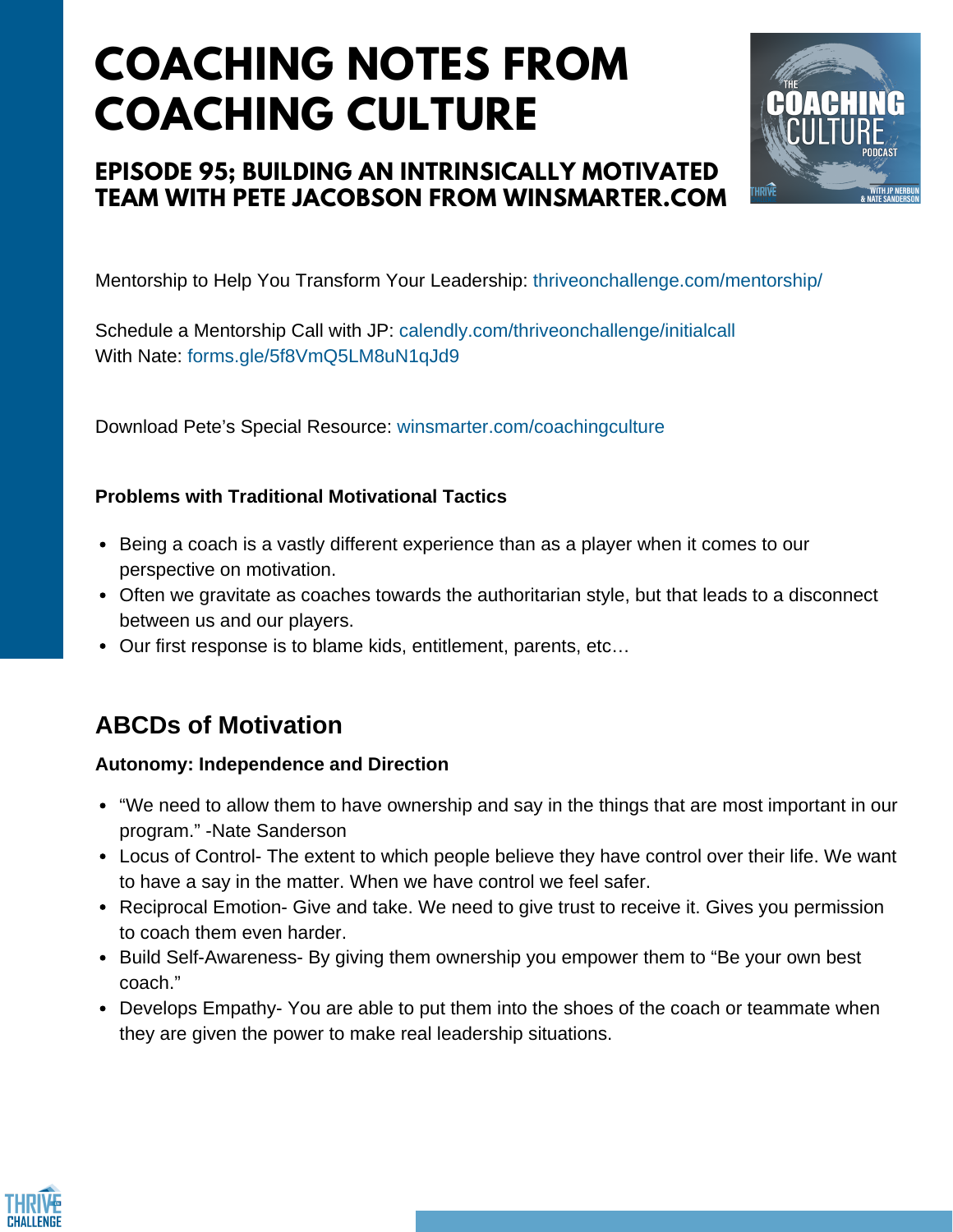# **COACHING NOTES FROM COACHING CULTURE**

## **EPISODE 95; BUILDING AN INTRINSICALLY MOTIVATED TEAM WITH PETE JACOBSON FROM WINSMARTER.COM**



Mentorship to Help You Transform Your Leadership:<thriveonchallenge.com/mentorship/>

Schedule a Mentorship Call with JP:<calendly.com/thriveonchallenge/initialcall> With Nate:<forms.gle/5f8VmQ5LM8uN1qJd9>

Download Pete's Special Resource:<winsmarter.com/coachingculture>

### **Problems with Traditional Motivational Tactics**

- Being a coach is a vastly different experience than as a player when it comes to our perspective on motivation.
- Often we gravitate as coaches towards the authoritarian style, but that leads to a disconnect between us and our players.
- Our first response is to blame kids, entitlement, parents, etc…

## **ABCDs of Motivation**

#### **Autonomy: Independence and Direction**

- "We need to allow them to have ownership and say in the things that are most important in our program." -Nate Sanderson
- Locus of Control- The extent to which people believe they have control over their life. We want to have a say in the matter. When we have control we feel safer.
- Reciprocal Emotion- Give and take. We need to give trust to receive it. Gives you permission to coach them even harder.
- Build Self-Awareness- By giving them ownership you empower them to "Be your own best coach."
- Develops Empathy- You are able to put them into the shoes of the coach or teammate when they are given the power to make real leadership situations.